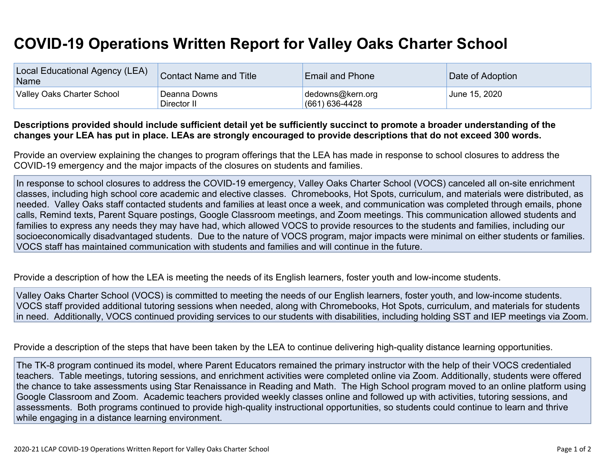## **COVID-19 Operations Written Report for Valley Oaks Charter School**

| Local Educational Agency (LEA)<br>Name | Contact Name and Title      | <b>Email and Phone</b>             | Date of Adoption |
|----------------------------------------|-----------------------------|------------------------------------|------------------|
| Valley Oaks Charter School             | Deanna Downs<br>Director II | dedowns@kern.org<br>(661) 636-4428 | June 15, 2020    |

## Descriptions provided should include sufficient detail yet be sufficiently succinct to promote a broader understanding of the changes your LEA has put in place. LEAs are strongly encouraged to provide descriptions that do not exceed 300 words.

Provide an overview explaining the changes to program offerings that the LEA has made in response to school closures to address the COVID-19 emergency and the major impacts of the closures on students and families.

In response to school closures to address the COVID-19 emergency, Valley Oaks Charter School (VOCS) canceled all on-site enrichment classes, including high school core academic and elective classes. Chromebooks, Hot Spots, curriculum, and materials were distributed, as needed. Valley Oaks staff contacted students and families at least once a week, and communication was completed through emails, phone calls, Remind texts, Parent Square postings, Google Classroom meetings, and Zoom meetings. This communication allowed students and families to express any needs they may have had, which allowed VOCS to provide resources to the students and families, including our socioeconomically disadvantaged students. Due to the nature of VOCS program, major impacts were minimal on either students or families. VOCS staff has maintained communication with students and families and will continue in the future.

Provide a description of how the LEA is meeting the needs of its English learners, foster youth and low-income students.

Valley Oaks Charter School (VOCS) is committed to meeting the needs of our English learners, foster youth, and low-income students. VOCS staff provided additional tutoring sessions when needed, along with Chromebooks, Hot Spots, curriculum, and materials for students in need. Additionally, VOCS continued providing services to our students with disabilities, including holding SST and IEP meetings via Zoom.

Provide a description of the steps that have been taken by the LEA to continue delivering high-quality distance learning opportunities.

The TK-8 program continued its model, where Parent Educators remained the primary instructor with the help of their VOCS credentialed teachers. Table meetings, tutoring sessions, and enrichment activities were completed online via Zoom. Additionally, students were offered the chance to take assessments using Star Renaissance in Reading and Math. The High School program moved to an online platform using Google Classroom and Zoom. Academic teachers provided weekly classes online and followed up with activities, tutoring sessions, and assessments. Both programs continued to provide high-quality instructional opportunities, so students could continue to learn and thrive while engaging in a distance learning environment.